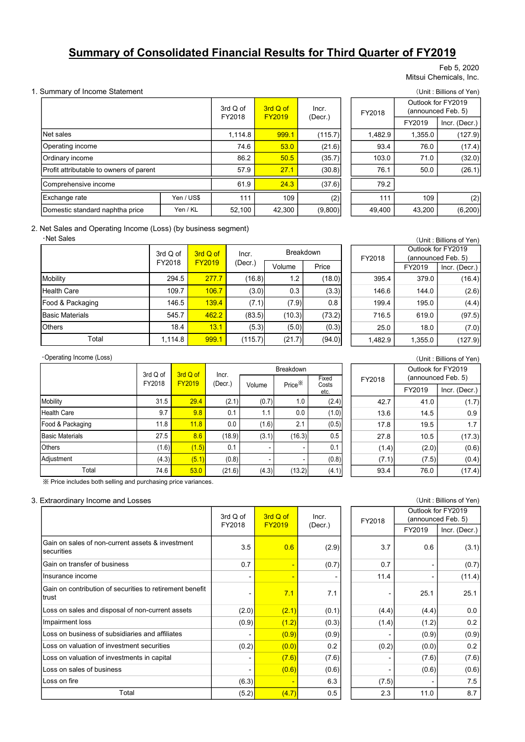# Summary of Consolidated Financial Results for Third Quarter of FY2019

#### Feb 5, 2020 Mitsui Chemicals, Inc.

#### 1. Summary of Income Statement (Unit : Billions of Yen)

|                                                                           |                    |                    |                  |                         |                    | <b>Summary of Consolidated Financial Results for Third Quarter of FY2019</b> |         |         |                                               |
|---------------------------------------------------------------------------|--------------------|--------------------|------------------|-------------------------|--------------------|------------------------------------------------------------------------------|---------|---------|-----------------------------------------------|
|                                                                           |                    |                    |                  |                         |                    |                                                                              |         |         | Feb 5, 2020                                   |
|                                                                           |                    |                    |                  |                         |                    |                                                                              |         |         | Mitsui Chemicals, Inc.                        |
| Summary of Income Statement                                               |                    |                    |                  |                         |                    |                                                                              |         |         | (Unit: Billions of Yen)                       |
|                                                                           |                    |                    |                  | 3rd Q of                | 3rd Q of           | Incr.                                                                        | FY2018  |         | Outlook for FY2019<br>(announced Feb. 5)      |
|                                                                           |                    |                    |                  | <b>FY2019</b><br>FY2018 |                    | (Decr.)                                                                      |         | FY2019  | Incr. (Decr.)                                 |
| Net sales                                                                 |                    |                    |                  | 1,114.8                 | 999.1              | (115.7)                                                                      | 1,482.9 | 1,355.0 | (127.9)                                       |
| Operating income                                                          |                    |                    |                  | 74.6                    | 53.0               | (21.6)                                                                       | 93.4    | 76.0    | (17.4)                                        |
| Ordinary income                                                           |                    |                    |                  | 86.2                    | 50.5               | (35.7)                                                                       | 103.0   | 71.0    | (32.0)                                        |
| Profit attributable to owners of parent                                   |                    |                    |                  | 57.9                    | 27.1               | (30.8)                                                                       | 76.1    | 50.0    | (26.1)                                        |
| Comprehensive income                                                      |                    |                    |                  | 61.9                    | 24.3               | (37.6)                                                                       | 79.2    |         |                                               |
| Exchange rate                                                             |                    | Yen / US\$         |                  | 111                     | 109                | (2)                                                                          | 111     | 109     | (2)                                           |
| Domestic standard naphtha price                                           |                    | Yen / KL           |                  | 52,100                  | 42,300             | (9,800)                                                                      | 49,400  | 43,200  | (6, 200)                                      |
|                                                                           |                    |                    |                  |                         |                    |                                                                              |         |         |                                               |
| Net Sales and Operating Income (Loss) (by business segment)<br>·Net Sales | 3rd Q of           |                    | 3rd Q of         | Incr.                   |                    | <b>Breakdown</b>                                                             |         |         | (Unit: Billions of Yen)<br>Outlook for FY2019 |
|                                                                           | FY2018             |                    | FY2019           | (Decr.)                 | Volume             | Price                                                                        | FY2018  | FY2019  | (announced Feb. 5)<br>Incr. (Decr.)           |
| Mobility                                                                  |                    | 294.5              | 277.7            | (16.8)                  | 1.2                | (18.0)                                                                       | 395.4   | 379.0   | (16.4)                                        |
| <b>Health Care</b>                                                        |                    | 109.7              | 106.7            | (3.0)                   | 0.3                | (3.3)                                                                        | 146.6   | 144.0   | (2.6)                                         |
| Food & Packaging                                                          |                    | 146.5              | 139.4            | (7.1)                   | (7.9)              | 0.8                                                                          | 199.4   | 195.0   | (4.4)                                         |
| <b>Basic Materials</b>                                                    |                    | 545.7              | 462.2            | (83.5)                  | (10.3)             | (73.2)                                                                       | 716.5   | 619.0   | (97.5)                                        |
| <b>Others</b>                                                             |                    | 18.4               | 13.1             | (5.3)                   | (5.0)              | (0.3)                                                                        | 25.0    | 18.0    | (7.0)                                         |
| Total                                                                     |                    | 1,114.8            | 999.1            | (115.7)                 | (21.7)             | (94.0)                                                                       | 1,482.9 | 1.355.0 | (127.9)                                       |
| Operating Income (Loss)                                                   |                    |                    |                  |                         |                    |                                                                              |         |         | (Unit: Billions of Yen)                       |
|                                                                           |                    |                    |                  |                         | Breakdown          |                                                                              |         |         | Outlook for FY2019                            |
|                                                                           | 3rd Q of<br>FY2018 | 3rd Q of<br>FY2019 | Incr.<br>(Decr.) | Volume                  | Price <sup>*</sup> | Fixed<br>Costs                                                               | FY2018  | FY2019  | (announced Feb. 5)<br>Incr. (Decr.)           |

|                |                           |        |                  | ancial Results for Third Quarter of FY2019 |         |                                          |
|----------------|---------------------------|--------|------------------|--------------------------------------------|---------|------------------------------------------|
|                |                           |        |                  |                                            |         | Feb 5, 2020                              |
|                |                           |        |                  |                                            |         | Mitsui Chemicals, Inc.                   |
|                |                           |        |                  |                                            |         | (Unit: Billions of Yen)                  |
| d Q of<br>2018 | 3rd Q of<br><b>FY2019</b> |        | Incr.            | FY2018                                     |         | Outlook for FY2019<br>(announced Feb. 5) |
|                |                           |        | (Decr.)          |                                            | FY2019  | Incr. (Decr.)                            |
| 1,114.8        | 999.1                     |        | (115.7)          | 1,482.9                                    | 1,355.0 | (127.9)                                  |
| 74.6           |                           | 53.0   | (21.6)           | 93.4                                       | 76.0    | (17.4)                                   |
| 86.2           |                           | 50.5   | (35.7)           | 103.0                                      | 71.0    | (32.0)                                   |
| 57.9           | 27.1                      |        | (30.8)           | 76.1                                       | 50.0    | (26.1)                                   |
| 61.9           |                           | 24.3   | (37.6)           | 79.2                                       |         |                                          |
| 111            |                           | 109    | (2)              | 111                                        | 109     | (2)                                      |
| 52,100         | 42,300                    |        | (9,800)          | 49,400                                     | 43,200  | (6, 200)                                 |
| (ment          |                           |        |                  |                                            |         | (Unit: Billions of Yen)                  |
| Incr.          |                           |        | <b>Breakdown</b> |                                            |         | Outlook for FY2019                       |
| (Decr.)        | Volume                    |        | Price            | FY2018                                     | FY2019  | (announced Feb. 5)<br>Incr. (Decr.)      |
| (16.8)         |                           | 1.2    | (18.0)           | 395.4                                      | 379.0   | (16.4)                                   |
|                | (3.0)                     | 0.3    | (3.3)            | 146.6                                      | 144.0   | (2.6)                                    |
|                |                           |        | 0.8              | 199.4                                      | 195.0   | (4.4)                                    |
|                | (7.1)                     | (7.9)  |                  |                                            |         |                                          |
| (83.5)         |                           | (10.3) | (73.2)           | 716.5                                      | 619.0   | (97.5)                                   |

#### 2. Net Sales and Operating Income (Loss) (by business segment)

・Net Sales

| Ordinary income                                                           |          |               |               |               | 86.2          | 50.5               | (35.7)         | 103.0         | 71.0          | (32.0)                                   |
|---------------------------------------------------------------------------|----------|---------------|---------------|---------------|---------------|--------------------|----------------|---------------|---------------|------------------------------------------|
| Profit attributable to owners of parent                                   |          |               |               |               | 57.9          | 27.1               | (30.8)         | 76.1          | 50.0          | (26.1)                                   |
| Comprehensive income                                                      |          |               |               |               | 61.9          | 24.3               | (37.6)         | 79.2          |               |                                          |
| Exchange rate                                                             |          | Yen / US\$    |               |               | 111           | 109                | (2)            | 111           | 109           | (2)                                      |
| Domestic standard naphtha price                                           |          | Yen / KL      |               |               | 52,100        | 42,300             | (9,800)        | 49,400        | 43,200        | (6, 200)                                 |
| Net Sales and Operating Income (Loss) (by business segment)<br>·Net Sales |          |               |               |               |               |                    |                |               |               | (Unit: Billions of Yen)                  |
|                                                                           | 3rd Q of |               | 3rd Q of      |               | Incr.         | <b>Breakdown</b>   |                | FY2018        |               | Outlook for FY2019<br>(announced Feb. 5) |
|                                                                           | FY2018   |               | <b>FY2019</b> |               | $($ Decr. $)$ | Volume             | Price          |               | FY2019        | Incr. (Decr.)                            |
| Mobility                                                                  |          | 294.5         | 277.7         |               | (16.8)        | $1.2$              | (18.0)         | 395.4         | 379.0         | (16.4)                                   |
| <b>Health Care</b>                                                        |          | 109.7         | 106.7         |               | (3.0)         | 0.3                | (3.3)          | 146.6         | 144.0         | (2.6)                                    |
| Food & Packaging                                                          |          | 146.5         |               | 139.4         | (7.1)         | (7.9)              | 0.8            | 199.4         | 195.0         | (4.4)                                    |
| <b>Basic Materials</b>                                                    |          | 545.7         |               | 462.2         | (83.5)        | (10.3)             | (73.2)         | 716.5         | 619.0         | (97.5)                                   |
| <b>Others</b>                                                             |          | 18.4          |               | 13.1          | (5.3)         | (5.0)              | (0.3)          | 25.0          | 18.0          | (7.0)                                    |
| Total                                                                     |          | 1,114.8       | 999.1         |               | (115.7)       | (21.7)             | (94.0)         | 1,482.9       | 1,355.0       | (127.9)                                  |
| Operating Income (Loss)                                                   |          |               |               |               |               |                    |                |               |               | (Unit: Billions of Yen)                  |
|                                                                           | 3rd Q of | 3rd Q of      |               | Incr.         |               | Breakdown          |                |               |               | Outlook for FY2019                       |
|                                                                           | FY2018   | <b>FY2019</b> |               | $($ Decr. $)$ | Volume        | Price <sup>※</sup> | Fixed<br>Costs | FY2018        |               | (announced Feb. 5)                       |
|                                                                           |          |               |               |               |               |                    | etc.           |               | FY2019        | Incr. (Decr.)                            |
| Mobility                                                                  | 31.5     |               | 29.4          | (2.1)         | (0.7)         | 1.0                | (2.4)          | 42.7          | 41.0          | (1.7)                                    |
| Health Care                                                               | 9.7      |               | 9.8           | 0.1           | 1.1           | 0.0                | (1.0)          | 13.6          | 14.5          | 0.9                                      |
| Food & Packaging                                                          | 11.8     |               | 11.8          | 0.0           | (1.6)         | 2.1                | (0.5)          | 17.8          | 19.5          | 1.7                                      |
| <b>Basic Materials</b>                                                    | 27.5     |               | 8.6           | (18.9)        | (3.1)         | (16.3)             | 0.5            | 27.8          | 10.5          | (17.3)                                   |
| Others                                                                    | (1.6)    |               | (1.5)         | 0.1           |               |                    | 0.1            | (1.4)         | (2.0)         | (0.6)                                    |
| $A = 11$                                                                  | (1.0)    |               | $I = -A$      | (0, 0)        |               |                    | (0, 0)         | $\sim$ $\sim$ | $\sim$ $\sim$ | $\sim$                                   |

|       |                  |         | (Unit: Billions of Yen)                  |               |  |  |
|-------|------------------|---------|------------------------------------------|---------------|--|--|
|       | <b>Breakdown</b> |         | Outlook for FY2019<br>(announced Feb. 5) |               |  |  |
|       |                  | FY2018  |                                          |               |  |  |
| me    | Price            |         | FY2019                                   | Incr. (Decr.) |  |  |
| 1.2   | (18.0)           | 395.4   | 379.0                                    | (16.4)        |  |  |
| 0.3   | (3.3)            | 146.6   | 144.0                                    | (2.6)         |  |  |
| (7.9) | 0.8              | 199.4   | 195.0                                    | (4.4)         |  |  |
| 10.3) | (73.2)           | 716.5   | 619.0                                    | (97.5)        |  |  |
| (5.0) | (0.3)            | 25.0    | 18.0                                     | (7.0)         |  |  |
| 21.7) | (94.0)           | 1,482.9 | 1,355.0                                  | (127.9)       |  |  |

| Comprehensive income                                                      |                    |         |                           |                  | 61.9               | 24.3                      |                  | (37.6)           | 79.2    |         |                                          |
|---------------------------------------------------------------------------|--------------------|---------|---------------------------|------------------|--------------------|---------------------------|------------------|------------------|---------|---------|------------------------------------------|
| Exchange rate                                                             |                    |         | Yen / US\$                |                  | 111                | 109                       |                  | (2)              | 111     | 109     | (2)                                      |
| Domestic standard naphtha price                                           |                    |         | Yen / KL                  |                  | 52,100             | 42,300                    |                  | (9,800)          | 49,400  | 43,200  | (6,200)                                  |
| Net Sales and Operating Income (Loss) (by business segment)<br>·Net Sales |                    |         |                           |                  |                    |                           |                  |                  |         |         | (Unit: Billions of Yen)                  |
|                                                                           | 3rd Q of           |         |                           | 3rd Q of         | Incr.              |                           | <b>Breakdown</b> |                  |         |         | Outlook for FY2019                       |
|                                                                           |                    | FY2018  | <b>FY2019</b>             |                  | $($ Decr. $)$      | Volume                    |                  | Price            | FY2018  | FY2019  | (announced Feb. 5)<br>Incr. (Decr.)      |
| Mobility                                                                  |                    | 294.5   |                           | 277.7            | (16.8)             | 1.2                       |                  | (18.0)           | 395.4   | 379.0   | (16.4)                                   |
| <b>Health Care</b>                                                        |                    | 109.7   |                           | 106.7            | (3.0)              | 0.3                       |                  | (3.3)            | 146.6   | 144.0   | (2.6)                                    |
| Food & Packaging                                                          |                    | 146.5   |                           | 139.4            | (7.1)              | (7.9)                     |                  | 0.8              | 199.4   | 195.0   | (4.4)                                    |
| <b>Basic Materials</b>                                                    |                    | 545.7   |                           | 462.2            | (83.5)             | (10.3)                    |                  | (73.2)           | 716.5   | 619.0   | (97.5)                                   |
| Others                                                                    |                    | 18.4    |                           | 13.1             | (5.3)              | (5.0)                     |                  | (0.3)            | 25.0    | 18.0    | (7.0)                                    |
| Total                                                                     |                    | 1,114.8 |                           | 999.1            | (115.7)            | (21.7)                    |                  | (94.0)           | 1,482.9 | 1,355.0 | (127.9)                                  |
| Operating Income (Loss)                                                   |                    |         |                           |                  |                    |                           |                  |                  |         |         | (Unit: Billions of Yen)                  |
|                                                                           |                    |         |                           |                  |                    | Breakdown                 |                  |                  |         |         | Outlook for FY2019                       |
|                                                                           | 3rd Q of<br>FY2018 |         | 3rd Q of<br><b>FY2019</b> | Incr.<br>(Decr.) |                    | Price <sup>※</sup>        |                  | Fixed            | FY2018  |         | (announced Feb. 5)                       |
|                                                                           |                    |         |                           |                  | Volume             |                           |                  | Costs<br>etc.    |         | FY2019  | Incr. (Decr.)                            |
| <b>Mobility</b>                                                           |                    | 31.5    | 29.4                      | (2.1)            |                    | (0.7)                     | 1.0              | (2.4)            | 42.7    | 41.0    | (1.7)                                    |
| <b>Health Care</b>                                                        |                    | 9.7     | 9.8                       | 0.1              |                    | 1.1                       | 0.0              | (1.0)            | 13.6    | 14.5    | 0.9                                      |
| Food & Packaging                                                          |                    | 11.8    | 11.8                      | 0.0              |                    | (1.6)                     | 2.1              | (0.5)            | 17.8    | 19.5    | 1.7                                      |
| <b>Basic Materials</b>                                                    |                    | 27.5    | 8.6                       | (18.9)           |                    | (3.1)                     | (16.3)           | 0.5              | 27.8    | 10.5    | (17.3)                                   |
| Others                                                                    |                    | (1.6)   | (1.5)                     | 0.1              |                    |                           |                  | 0.1              | (1.4)   | (2.0)   | (0.6)                                    |
| Adjustment                                                                |                    | (4.3)   | (5.1)                     | (0.8)            |                    |                           |                  | (0.8)            | (7.1)   | (7.5)   | (0.4)                                    |
| Total                                                                     |                    | 74.6    | 53.0                      | (21.6)           |                    | (4.3)                     | (13.2)           | (4.1)            | 93.4    | 76.0    | (17.4)                                   |
| ※ Price includes both selling and purchasing price variances.             |                    |         |                           |                  |                    |                           |                  |                  |         |         |                                          |
| Extraordinary Income and Losses                                           |                    |         |                           |                  |                    |                           |                  |                  |         |         | (Unit: Billions of Yen)                  |
|                                                                           |                    |         |                           |                  | 3rd Q of<br>FY2018 | 3rd Q of<br><b>FY2019</b> |                  | Incr.<br>(Decr.) | FY2018  |         | Outlook for FY2019<br>(announced Feb. 5) |

|                    |               |        |        | (Unit: Billions of Yen)                  |  |  |  |
|--------------------|---------------|--------|--------|------------------------------------------|--|--|--|
| <b>Breakdown</b>   | Fixed         |        |        | Outlook for FY2019<br>(announced Feb. 5) |  |  |  |
| Price <sup>%</sup> | Costs<br>etc. | FY2018 | FY2019 | Incr. (Decr.)                            |  |  |  |
| 1.0                | (2.4)         | 42.7   | 41.0   | (1.7)                                    |  |  |  |
| 0.0                | (1.0)         | 13.6   | 14.5   | 0.9                                      |  |  |  |
| 2.1                | (0.5)         | 17.8   | 19.5   | 1.7                                      |  |  |  |
| (16.3)             | 0.5           | 27.8   | 10.5   | (17.3)                                   |  |  |  |
|                    | 0.1           | (1.4)  | (2.0)  | (0.6)                                    |  |  |  |
|                    | (0.8)         | (7.1)  | (7.5)  | (0.4)                                    |  |  |  |
| (13.2)             | (4.1)         | 93.4   | 76.0   | (17.4                                    |  |  |  |

### 3. Extraordinary Income and Losses (Unit : Billions of Yen)

|                                                                   | 3rd Q of<br>FY2018 | 3rd Q of<br><b>FY2019</b> | Incr.<br>(Decr.) |
|-------------------------------------------------------------------|--------------------|---------------------------|------------------|
| Gain on sales of non-current assets & investment<br>securities    | 3.5                | 0.6                       | (2.9)            |
| Gain on transfer of business                                      | 0.7                | $\blacksquare$            | (0.7)            |
| Insurance income                                                  |                    | ٠                         |                  |
| Gain on contribution of securities to retirement benefit<br>trust |                    | 7.1                       | 7.1              |
| Loss on sales and disposal of non-current assets                  | (2.0)              | (2.1)                     | (0.1)            |
| Impairment loss                                                   | (0.9)              | (1.2)                     | (0.3)            |
| Loss on business of subsidiaries and affiliates                   |                    | (0.9)                     | (0.9)            |
| Loss on valuation of investment securities                        | (0.2)              | (0.0)                     | 0.2              |
| Loss on valuation of investments in capital                       |                    | (7.6)                     | (7.6)            |
| Loss on sales of business                                         |                    | (0.6)                     | (0.6)            |
| Loss on fire                                                      | (6.3)              |                           | 6.3              |
| Total                                                             | (5.2)              | (4.7)                     | 0.5              |

|                          |                |         |        |                                          | (UTIIL. DIIIUIS UL TEIT) |  |  |
|--------------------------|----------------|---------|--------|------------------------------------------|--------------------------|--|--|
| of                       | 3rd Q of       | Incr.   | FY2018 | Outlook for FY2019<br>(announced Feb. 5) |                          |  |  |
| 18                       | <b>FY2019</b>  | (Decr.) |        | FY2019                                   | Incr. (Decr.)            |  |  |
| 3.5                      | 0.6            | (2.9)   | 3.7    | 0.6                                      | (3.1)                    |  |  |
| 0.7                      | $\blacksquare$ | (0.7)   | 0.7    |                                          | (0.7)                    |  |  |
| $\overline{\phantom{a}}$ | ٠              |         | 11.4   |                                          | (11.4)                   |  |  |
|                          | 7.1            | 7.1     |        | 25.1                                     | 25.1                     |  |  |
| (2.0)                    | (2.1)          | (0.1)   | (4.4)  | (4.4)                                    | 0.0                      |  |  |
| (0.9)                    | (1.2)          | (0.3)   | (1.4)  | (1.2)                                    | 0.2                      |  |  |
|                          | (0.9)          | (0.9)   |        | (0.9)                                    | (0.9)                    |  |  |
| (0.2)                    | (0.0)          | 0.2     | (0.2)  | (0.0)                                    | 0.2                      |  |  |
|                          | (7.6)          | (7.6)   |        | (7.6)                                    | (7.6)                    |  |  |
|                          | (0.6)          | (0.6)   |        | (0.6)                                    | (0.6)                    |  |  |
| (6.3)                    |                | 6.3     | (7.5)  |                                          | 7.5                      |  |  |
| (5.2)                    | (4.7)          | 0.5     | 2.3    | 11.0                                     | 8.7                      |  |  |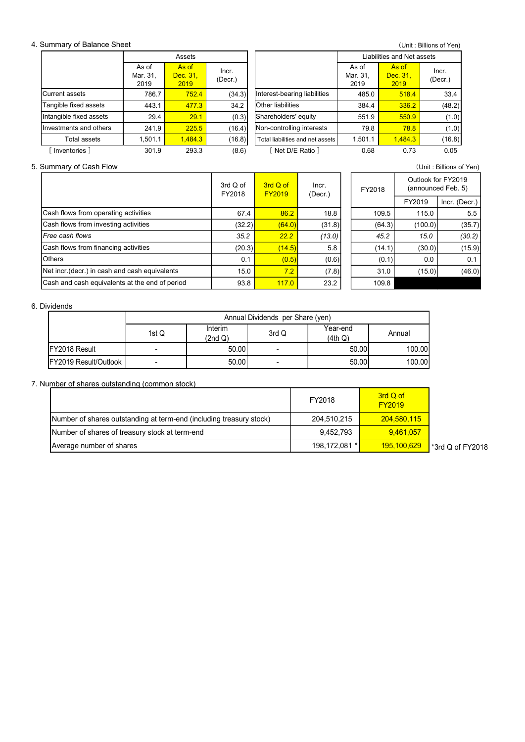#### 4. Summary of Balance Sheet

| Summary of Balance Sheet |                           |                           |                    |                                  |                  |                            |                           | (Unit: Billions of Yen)                  |
|--------------------------|---------------------------|---------------------------|--------------------|----------------------------------|------------------|----------------------------|---------------------------|------------------------------------------|
|                          |                           | Assets                    |                    |                                  |                  | Liabilities and Net assets |                           |                                          |
|                          | As of<br>Mar. 31,<br>2019 | As of<br>Dec. 31,<br>2019 | Incr.<br>(Decr.)   |                                  |                  | As of<br>Mar. 31,<br>2019  | As of<br>Dec. 31,<br>2019 | Incr.<br>(Decr.)                         |
| <b>Current assets</b>    | 786.7                     |                           |                    |                                  |                  |                            |                           |                                          |
|                          |                           | 752.4                     | (34.3)             | Interest-bearing liabilities     |                  | 485.0                      | 518.4                     | 33.4                                     |
| Tangible fixed assets    | 443.1                     | 477.3                     | 34.2               | Other liabilities                |                  | 384.4                      | 336.2                     | (48.2)                                   |
| Intangible fixed assets  | 29.4                      | 29.1                      | (0.3)              | Shareholders' equity             |                  | 551.9                      | 550.9                     | (1.0)                                    |
| Investments and others   | 241.9                     | 225.5                     | (16.4)             | Non-controlling interests        |                  | 79.8                       | 78.8                      | (1.0)                                    |
| Total assets             | 1,501.1                   | 1,484.3                   | (16.8)             | Total liabilities and net assets |                  | 1,501.1                    | 1,484.3                   | (16.8)                                   |
| [ Inventories ]          | 301.9                     | 293.3                     | (8.6)              | [ Net D/E Ratio ]                |                  | 0.68                       | 0.73                      | 0.05                                     |
|                          |                           |                           |                    |                                  |                  |                            |                           | (Unit: Billions of Yen)                  |
| Summary of Cash Flow     |                           |                           | 3rd Q of<br>FY2018 | 3rd Q of<br><b>FY2019</b>        | Incr.<br>(Decr.) | FY2018                     |                           | Outlook for FY2019<br>(announced Feb. 5) |

5. Summary of Cash Flow (Unit : Billions of Yen) FY2019 Incr. (Decr.) 67.4 <mark>86.2</mark> 18.8 109.5 115.0 5.5  $(32.2)$   $(64.0)$   $(31.8)$   $(64.3)$   $(100.0)$   $(35.7)$ 35.2 **22.2** (13.0) 45.2 15.0 (30.2)  $(20.3)$   $(14.5)$  5.8 (14.1)  $(30.0)$  (15.9)  $0.1$  (0.5) (0.6)  $(0.6)$  (0.1) 0.0 0.1 15.0 **7.2** (7.8) 31.0 (15.0) (46.0) 93.8 <mark>117.0</mark> 23.2 109.8 Free cash flows Cash and cash equivalents at the end of period 3rd Q of FY2018 Outlook for FY2019 (announced Feb. 5) Cash flows from financing activities Others  $\sqrt{\mathsf{Net}\:\mathsf{incr}.(\mathsf{decr.})}$  in cash and cash equivalents  $\begin{array}{|c|c|c|c|c|}\n\hline\n3\text{rd Q of} & \text{Incr.} & \text{FT2018}\n\hline\n\end{array}$ FY2019 Incr. (Decr.) Cash flows from operating activities Cash flows from investing activities estiments and others 2.10 - 2.25 (60.4) Constanting terminals and others 1.501.1 1.4843 (10.8) Trousmasters 1.501.1 1.4843 (10.8) Trousmasters 1.501.1 1.4843 (10.8) Trousmasters 1.501.1 1.4843 (10.8) Trousmasters 1.501.1 1 From the control of the control of the control of the control of the control of the control of the control of the control of the control of the control of the control of the control of the control of the control of the co Number of shares outstanding communistics<br>
Number of shares outstanding at term-end (including treasury stock)<br>
Number of shares of the search of stars of the search of term end for the search and term end (including treas Average number of shares outslanding (common slock)<br>
Marked of shares of shares (a) and the media of the context of the context of the context of the context of the context of the context of the context of the context of

#### 6. Dividends

|                       |                          | Annual Dividends per Share (yen) |       |                     |        |  |  |  |  |  |
|-----------------------|--------------------------|----------------------------------|-------|---------------------|--------|--|--|--|--|--|
|                       | 1st Q                    | Interim<br>(2nd Q)               | 3rd Q | Year-end<br>(4th Q) | Annual |  |  |  |  |  |
| <b>IFY2018 Result</b> | $\overline{\phantom{0}}$ | 50.00                            | -     | 50.00               | 100.00 |  |  |  |  |  |
| FY2019 Result/Outlook | $\overline{\phantom{a}}$ | 50.00                            | -     | 50.00               | 100.00 |  |  |  |  |  |

#### 7. Number of shares outstanding (common stock)

|                                                                     | FY2018        | 3rd Q of<br><b>FY2019</b> |                 |
|---------------------------------------------------------------------|---------------|---------------------------|-----------------|
| Number of shares outstanding at term-end (including treasury stock) | 204,510,215   | 204,580,115               |                 |
| Number of shares of treasury stock at term-end                      | 9,452,793     | 9,461,057                 |                 |
| Average number of shares                                            | 198,172,081 * | 195,100,629               | 3rd Q of FY2018 |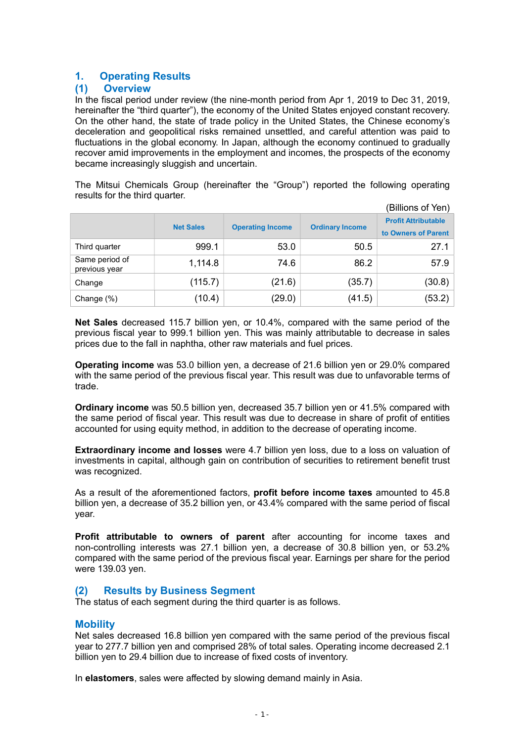## 1. Operating Results

## (1) Overview

In the fiscal period under review (the nine-month period from Apr 1, 2019 to Dec 31, 2019, hereinafter the "third quarter"), the economy of the United States enjoyed constant recovery. On the other hand, the state of trade policy in the United States, the Chinese economy's deceleration and geopolitical risks remained unsettled, and careful attention was paid to fluctuations in the global economy. In Japan, although the economy continued to gradually recover amid improvements in the employment and incomes, the prospects of the economy became increasingly sluggish and uncertain.

The Mitsui Chemicals Group (hereinafter the "Group") reported the following operating results for the third quarter.

|                                 |                  |                         |                        | (Billions of Yen)                                 |
|---------------------------------|------------------|-------------------------|------------------------|---------------------------------------------------|
|                                 | <b>Net Sales</b> | <b>Operating Income</b> | <b>Ordinary Income</b> | <b>Profit Attributable</b><br>to Owners of Parent |
| Third quarter                   | 999.1            | 53.0                    | 50.5                   | 27.1                                              |
| Same period of<br>previous year | 1,114.8          | 74.6                    | 86.2                   | 57.9                                              |
| Change                          | (115.7)          | (21.6)                  | (35.7)                 | (30.8)                                            |
| Change (%)                      | (10.4)           | (29.0)                  | (41.5)                 | (53.2)                                            |

Net Sales decreased 115.7 billion yen, or 10.4%, compared with the same period of the previous fiscal year to 999.1 billion yen. This was mainly attributable to decrease in sales prices due to the fall in naphtha, other raw materials and fuel prices.

Operating income was 53.0 billion yen, a decrease of 21.6 billion yen or 29.0% compared with the same period of the previous fiscal year. This result was due to unfavorable terms of trade.

Ordinary income was 50.5 billion yen, decreased 35.7 billion yen or 41.5% compared with the same period of fiscal year. This result was due to decrease in share of profit of entities accounted for using equity method, in addition to the decrease of operating income.

Extraordinary income and losses were 4.7 billion yen loss, due to a loss on valuation of investments in capital, although gain on contribution of securities to retirement benefit trust was recognized.

As a result of the aforementioned factors, **profit before income taxes** amounted to 45.8 billion yen, a decrease of 35.2 billion yen, or 43.4% compared with the same period of fiscal year.

Profit attributable to owners of parent after accounting for income taxes and non-controlling interests was 27.1 billion yen, a decrease of 30.8 billion yen, or 53.2% compared with the same period of the previous fiscal year. Earnings per share for the period were 139.03 yen.

## (2) Results by Business Segment

The status of each segment during the third quarter is as follows.

## **Mobility**

Net sales decreased 16.8 billion yen compared with the same period of the previous fiscal year to 277.7 billion yen and comprised 28% of total sales. Operating income decreased 2.1 billion yen to 29.4 billion due to increase of fixed costs of inventory.

In elastomers, sales were affected by slowing demand mainly in Asia.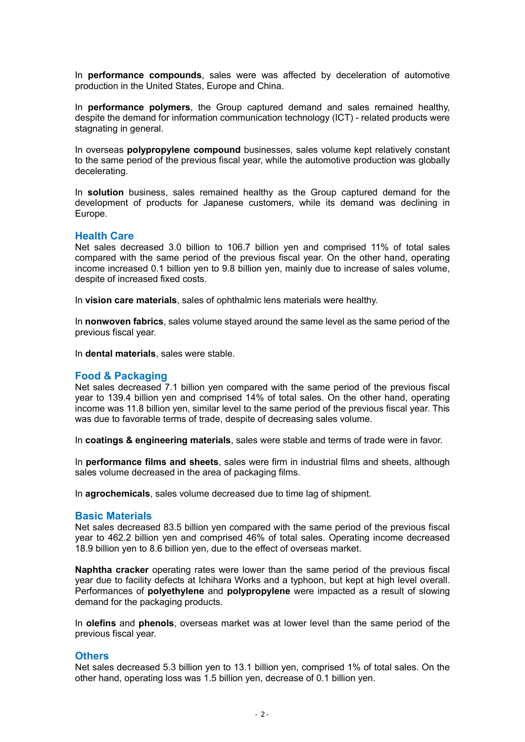In **performance compounds**, sales were was affected by deceleration of automotive production in the United States, Europe and China.

In **performance polymers**, the Group captured demand and sales remained healthy, despite the demand for information communication technology (ICT) - related products were stagnating in general.

In overseas polypropylene compound businesses, sales volume kept relatively constant to the same period of the previous fiscal year, while the automotive production was globally decelerating.

In **solution** business, sales remained healthy as the Group captured demand for the development of products for Japanese customers, while its demand was declining in Europe.

#### Health Care

Net sales decreased 3.0 billion to 106.7 billion yen and comprised 11% of total sales compared with the same period of the previous fiscal year. On the other hand, operating income increased 0.1 billion yen to 9.8 billion yen, mainly due to increase of sales volume, despite of increased fixed costs.

In vision care materials, sales of ophthalmic lens materials were healthy.

In nonwoven fabrics, sales volume stayed around the same level as the same period of the previous fiscal year.

In dental materials, sales were stable.

#### Food & Packaging

Net sales decreased 7.1 billion yen compared with the same period of the previous fiscal year to 139.4 billion yen and comprised 14% of total sales. On the other hand, operating income was 11.8 billion yen, similar level to the same period of the previous fiscal year. This was due to favorable terms of trade, despite of decreasing sales volume.

In coatings & engineering materials, sales were stable and terms of trade were in favor.

In **performance films and sheets**, sales were firm in industrial films and sheets, although sales volume decreased in the area of packaging films.

In agrochemicals, sales volume decreased due to time lag of shipment.

#### Basic Materials

Net sales decreased 83.5 billion yen compared with the same period of the previous fiscal year to 462.2 billion yen and comprised 46% of total sales. Operating income decreased 18.9 billion yen to 8.6 billion yen, due to the effect of overseas market.

Naphtha cracker operating rates were lower than the same period of the previous fiscal year due to facility defects at Ichihara Works and a typhoon, but kept at high level overall. Performances of **polyethylene** and **polypropylene** were impacted as a result of slowing demand for the packaging products.

In olefins and phenols, overseas market was at lower level than the same period of the previous fiscal year.

#### **Others**

Net sales decreased 5.3 billion yen to 13.1 billion yen, comprised 1% of total sales. On the other hand, operating loss was 1.5 billion yen, decrease of 0.1 billion yen.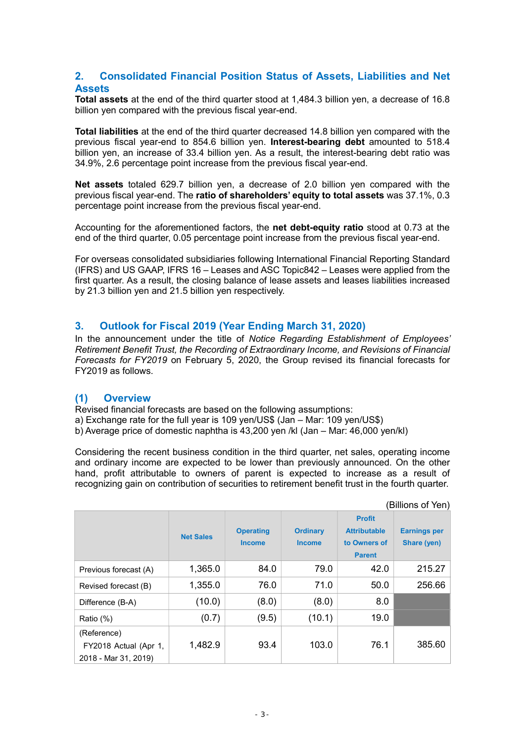## 2. Consolidated Financial Position Status of Assets, Liabilities and Net **Assets**

Total assets at the end of the third quarter stood at 1,484.3 billion yen, a decrease of 16.8 billion yen compared with the previous fiscal year-end.

Total liabilities at the end of the third quarter decreased 14.8 billion yen compared with the previous fiscal year-end to 854.6 billion yen. Interest-bearing debt amounted to 518.4 billion yen, an increase of 33.4 billion yen. As a result, the interest-bearing debt ratio was 34.9%, 2.6 percentage point increase from the previous fiscal year-end.

Net assets totaled 629.7 billion yen, a decrease of 2.0 billion yen compared with the previous fiscal year-end. The ratio of shareholders' equity to total assets was 37.1%, 0.3 percentage point increase from the previous fiscal year-end.

Accounting for the aforementioned factors, the net debt-equity ratio stood at 0.73 at the end of the third quarter, 0.05 percentage point increase from the previous fiscal year-end.

For overseas consolidated subsidiaries following International Financial Reporting Standard (IFRS) and US GAAP, IFRS 16 – Leases and ASC Topic842 – Leases were applied from the first quarter. As a result, the closing balance of lease assets and leases liabilities increased by 21.3 billion yen and 21.5 billion yen respectively.

## 3. Outlook for Fiscal 2019 (Year Ending March 31, 2020)

In the announcement under the title of Notice Regarding Establishment of Employees' Retirement Benefit Trust, the Recording of Extraordinary Income, and Revisions of Financial Forecasts for FY2019 on February 5, 2020, the Group revised its financial forecasts for FY2019 as follows.

## (1) Overview

Revised financial forecasts are based on the following assumptions:

a) Exchange rate for the full year is 109 yen/US\$ (Jan – Mar: 109 yen/US\$)

b) Average price of domestic naphtha is 43,200 yen /kl (Jan – Mar: 46,000 yen/kl)

Considering the recent business condition in the third quarter, net sales, operating income and ordinary income are expected to be lower than previously announced. On the other hand, profit attributable to owners of parent is expected to increase as a result of recognizing gain on contribution of securities to retirement benefit trust in the fourth quarter.

| (Billions of Yen)                                            |                  |                                   |                                  |                                                                       |                                    |  |
|--------------------------------------------------------------|------------------|-----------------------------------|----------------------------------|-----------------------------------------------------------------------|------------------------------------|--|
|                                                              | <b>Net Sales</b> | <b>Operating</b><br><b>Income</b> | <b>Ordinary</b><br><b>Income</b> | <b>Profit</b><br><b>Attributable</b><br>to Owners of<br><b>Parent</b> | <b>Earnings per</b><br>Share (yen) |  |
| Previous forecast (A)                                        | 1,365.0          | 84.0                              | 79.0                             | 42.0                                                                  | 215.27                             |  |
| Revised forecast (B)                                         | 1,355.0          | 76.0                              | 71.0                             | 50.0                                                                  | 256.66                             |  |
| Difference (B-A)                                             | (10.0)           | (8.0)                             | (8.0)                            | 8.0                                                                   |                                    |  |
| Ratio (%)                                                    | (0.7)            | (9.5)                             | (10.1)                           | 19.0                                                                  |                                    |  |
| (Reference)<br>FY2018 Actual (Apr 1,<br>2018 - Mar 31, 2019) | 1,482.9          | 93.4                              | 103.0                            | 76.1                                                                  | 385.60                             |  |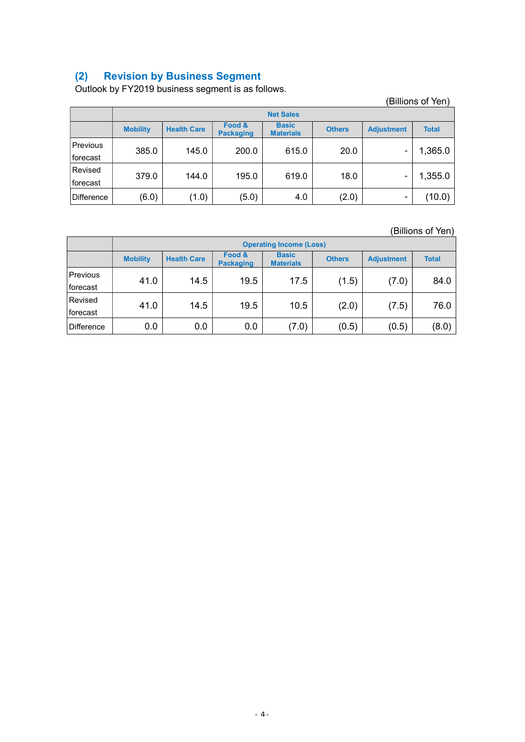## (2) Revision by Business Segment

Outlook by FY2019 business segment is as follows.

|                      |                  | $5.411$ $5.411$ $6.411$ $7.411$ $7.411$ $8.411$ $7.411$ $8.411$ $8.411$ $8.411$ $8.411$ $8.411$ |                            |                                  |               |                   | (Billions of Yen) |
|----------------------|------------------|-------------------------------------------------------------------------------------------------|----------------------------|----------------------------------|---------------|-------------------|-------------------|
|                      | <b>Net Sales</b> |                                                                                                 |                            |                                  |               |                   |                   |
|                      | <b>Mobility</b>  | <b>Health Care</b>                                                                              | Food &<br><b>Packaging</b> | <b>Basic</b><br><b>Materials</b> | <b>Others</b> | <b>Adjustment</b> | <b>Total</b>      |
| Previous<br>forecast | 385.0            | 145.0                                                                                           | 200.0                      | 615.0                            | 20.0          | $\blacksquare$    | 1,365.0           |
| Revised<br>forecast  | 379.0            | 144.0                                                                                           | 195.0                      | 619.0                            | 18.0          |                   | 1,355.0           |
| Difference           | (6.0)            | (1.0)                                                                                           | (5.0)                      | 4.0                              | (2.0)         | $\blacksquare$    | (10.0)            |

(Billions of Yen)

|            | <b>Operating Income (Loss)</b> |                    |                            |                                  |               |                   |              |  |
|------------|--------------------------------|--------------------|----------------------------|----------------------------------|---------------|-------------------|--------------|--|
|            | <b>Mobility</b>                | <b>Health Care</b> | Food &<br><b>Packaging</b> | <b>Basic</b><br><b>Materials</b> | <b>Others</b> | <b>Adjustment</b> | <b>Total</b> |  |
| Previous   | 41.0                           | 14.5               | 19.5                       | 17.5                             | (1.5)         | (7.0)             | 84.0         |  |
| forecast   |                                |                    |                            |                                  |               |                   |              |  |
| Revised    | 41.0                           | 14.5               | 19.5                       | 10.5                             | (2.0)         | (7.5)             | 76.0         |  |
| forecast   |                                |                    |                            |                                  |               |                   |              |  |
| Difference | 0.0                            | 0.0                | 0.0                        | (7.0)                            | (0.5)         | (0.5)             | (8.0)        |  |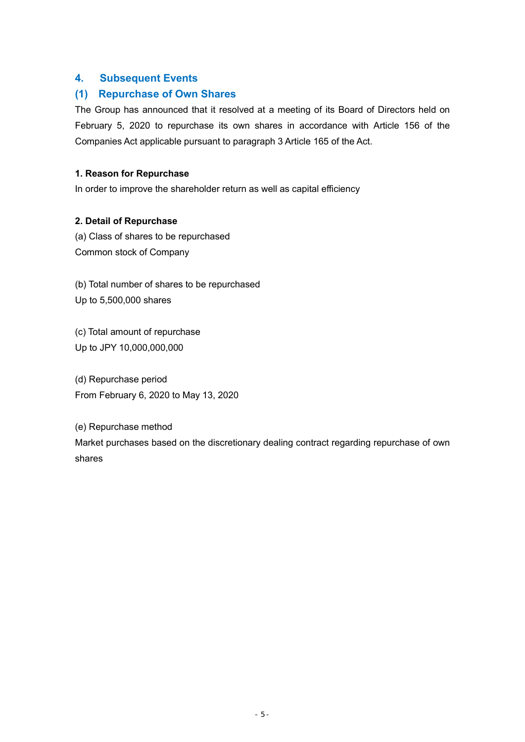## 4. Subsequent Events

## (1) Repurchase of Own Shares

The Group has announced that it resolved at a meeting of its Board of Directors held on February 5, 2020 to repurchase its own shares in accordance with Article 156 of the Companies Act applicable pursuant to paragraph 3 Article 165 of the Act.

## 1. Reason for Repurchase

In order to improve the shareholder return as well as capital efficiency

## 2. Detail of Repurchase

(a) Class of shares to be repurchased Common stock of Company

(b) Total number of shares to be repurchased Up to 5,500,000 shares

(c) Total amount of repurchase Up to JPY 10,000,000,000

(d) Repurchase period From February 6, 2020 to May 13, 2020

(e) Repurchase method Market purchases based on the discretionary dealing contract regarding repurchase of own shares